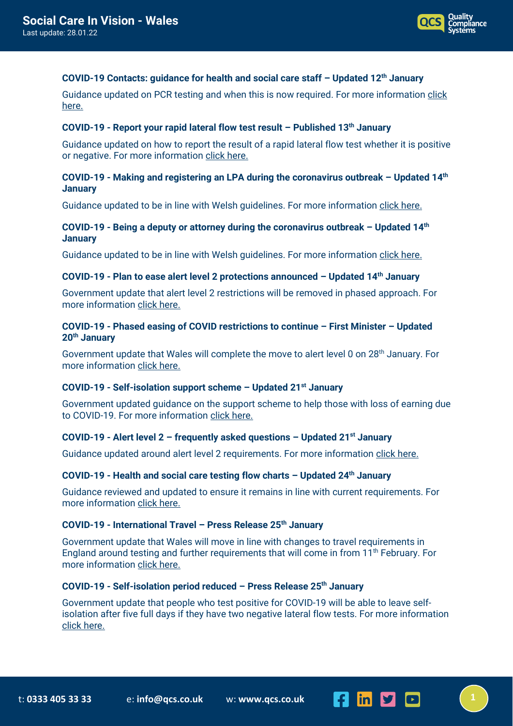

## **COVID-19 Contacts: guidance for health and social care staff – Updated 12th January**

Guidance updated on PCR testing and when this is now required. For more information click [here.](https://gov.wales/covid-19-contacts-guidance-health-and-social-care-staff-html)

## **COVID-19 - Report your rapid lateral flow test result – Published 13th January**

Guidance updated on how to report the result of a rapid lateral flow test whether it is positive or negative. For more information [click here.](https://gov.wales/report-your-lateral-flow-test-result?utm_source=rss-topics-Coronavirus+%28COVID-19%29&utm_medium=rss-feed&utm_campaign=rss-Report+your+lateral+flow+test+result)

## **COVID-19 - Making and registering an LPA during the coronavirus outbreak – Updated 14th January**

Guidance updated to be in line with Welsh guidelines. For more information [click here.](https://www.gov.uk/guidance/making-and-registering-an-lpa-during-the-coronavirus-outbreak?utm_medium=email&utm_campaign=govuk-notifications-topic&utm_source=e2e3d169-52ba-4d6f-94b5-766b7c249999&utm_content=immediately#full-publication-update-history)

## **COVID-19 - Being a deputy or attorney during the coronavirus outbreak – Updated 14th January**

Guidance updated to be in line with Welsh guidelines. For more information [click here.](https://www.gov.uk/guidance/being-a-deputy-or-attorney-during-the-coronavirus-outbreak?utm_medium=email&utm_campaign=govuk-notifications-topic&utm_source=e355b984-96e1-4b88-b49a-fd8c00e5de83&utm_content=immediately)

#### **COVID-19 - Plan to ease alert level 2 protections announced – Updated 14th January**

Government update that alert level 2 restrictions will be removed in phased approach. For more informatio[n click here.](https://gov.wales/plan-to-ease-alert-level-2-protections-announced?utm_source=rss-topics-Coronavirus+%28COVID-19%29&utm_medium=rss-feed&utm_campaign=rss-Plan+to+ease+alert+level+2+protections+announced)

# **COVID-19 - Phased easing of COVID restrictions to continue – First Minister – Updated 20th January**

Government update that Wales will complete the move to alert level 0 on 28<sup>th</sup> January. For more informatio[n click here.](https://gov.wales/phased-easing-of-covid-restrictions-to-continue-first-minister?utm_source=rss-topics-Coronavirus+%28COVID-19%29&utm_medium=rss-feed&utm_campaign=rss-Phased+easing+of+Covid+restrictions+to+continue+%E2%80%93+First+Minister)

## **COVID-19 - Self-isolation support scheme – Updated 21st January**

Government updated guidance on the support scheme to help those with loss of earning due to COVID-19. For more information [click here.](https://gov.wales/self-isolation-support-scheme)

#### **COVID-19 - Alert level 2 – frequently asked questions – Updated 21st January**

Guidance updated around alert level 2 requirements. For more information [click here.](https://gov.wales/alert-level-2-frequently-asked-questions)

# **COVID-19 - Health and social care testing flow charts – Updated 24th January**

Guidance reviewed and updated to ensure it remains in line with current requirements. For more informatio[n click here.](https://gov.wales/health-and-social-care-testing-flow-charts-covid-19)

## **COVID-19 - International Travel – Press Release 25th January**

Government update that Wales will move in line with changes to travel requirements in England around testing and further requirements that will come in from  $11<sup>th</sup>$  February. For more informatio[n click here.](https://gov.wales/international-travel?utm_source=rss-topics-Coronavirus+%28COVID-19%29&utm_medium=rss-feed&utm_campaign=rss-International+travel)

#### **COVID-19 - Self-isolation period reduced – Press Release 25th January**

Government update that people who test positive for COVID-19 will be able to leave selfisolation after five full days if they have two negative lateral flow tests. For more information [click here.](https://gov.wales/self-isolation-period-reduced?utm_source=rss-topics-Coronavirus+%28COVID-19%29&utm_medium=rss-feed&utm_campaign=rss-Self-isolation+period+reduced)